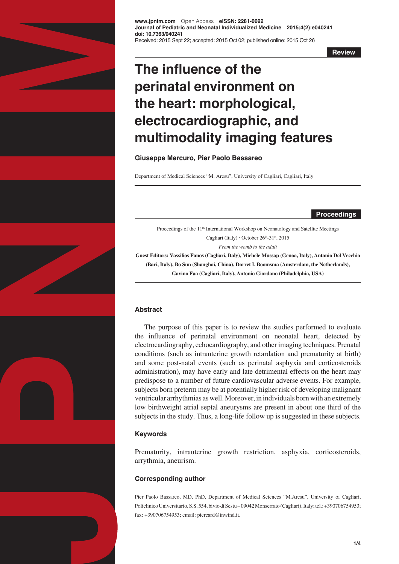

**www.jpnim.com** Open Access **eISSN: 2281-0692 Journal of Pediatric and Neonatal Individualized Medicine 2015;4(2):e040241 doi: 10.7363/040241** Received: 2015 Sept 22; accepted: 2015 Oct 02; published online: 2015 Oct 26

**Review**

# **The influence of the perinatal environment on the heart: morphological, electrocardiographic, and multimodality imaging features**

## **Giuseppe Mercuro, Pier Paolo Bassareo**

Department of Medical Sciences "M. Aresu", University of Cagliari, Cagliari, Italy

**Proceedings**

Proceedings of the 11<sup>th</sup> International Workshop on Neonatology and Satellite Meetings Cagliari (Italy)  $\cdot$  October 26<sup>th</sup>-31<sup>st</sup>, 2015 *From the womb to the adult*

**Guest Editors: Vassilios Fanos (Cagliari, Italy), Michele Mussap (Genoa, Italy), Antonio Del Vecchio (Bari, Italy), Bo Sun (Shanghai, China), Dorret I. Boomsma (Amsterdam, the Netherlands), Gavino Faa (Cagliari, Italy), Antonio Giordano (Philadelphia, USA)** 

## **Abstract**

The purpose of this paper is to review the studies performed to evaluate the influence of perinatal environment on neonatal heart, detected by electrocardiography, echocardiography, and other imaging techniques. Prenatal conditions (such as intrauterine growth retardation and prematurity at birth) and some post-natal events (such as perinatal asphyxia and corticosteroids administration), may have early and late detrimental effects on the heart may predispose to a number of future cardiovascular adverse events. For example, subjects born preterm may be at potentially higher risk of developing malignant ventricular arrhythmias as well. Moreover, in individuals born with an extremely low birthweight atrial septal aneurysms are present in about one third of the subjects in the study. Thus, a long-life follow up is suggested in these subjects.

# **Keywords**

Prematurity, intrauterine growth restriction, asphyxia, corticosteroids, arrythmia, aneurism.

# **Corresponding author**

Pier Paolo Bassareo, MD, PhD, Department of Medical Sciences "M.Aresu", University of Cagliari, Policlinico Universitario, S.S. 554, bivio di Sestu – 09042 Monserrato (Cagliari), Italy; tel.: +390706754953; fax: +390706754953; email: piercard@inwind.it.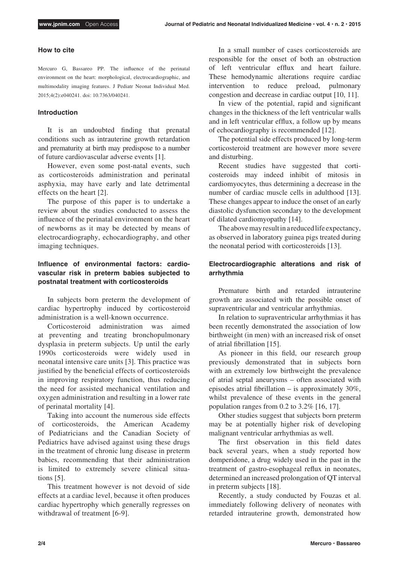## **How to cite**

Mercuro G, Bassareo PP. The influence of the perinatal environment on the heart: morphological, electrocardiographic, and multimodality imaging features. J Pediatr Neonat Individual Med. 2015;4(2):e040241. doi: 10.7363/040241.

## **Introduction**

It is an undoubted finding that prenatal conditions such as intrauterine growth retardation and prematurity at birth may predispose to a number of future cardiovascular adverse events [1].

However, even some post-natal events, such as corticosteroids administration and perinatal asphyxia, may have early and late detrimental effects on the heart [2].

The purpose of this paper is to undertake a review about the studies conducted to assess the influence of the perinatal environment on the heart of newborns as it may be detected by means of electrocardiography, echocardiography, and other imaging techniques.

# **Influence of environmental factors: cardiovascular risk in preterm babies subjected to postnatal treatment with corticosteroids**

In subjects born preterm the development of cardiac hypertrophy induced by corticosteroid administration is a well-known occurrence.

Corticosteroid administration was aimed at preventing and treating bronchopulmonary dysplasia in preterm subjects. Up until the early 1990s corticosteroids were widely used in neonatal intensive care units [3]. This practice was justified by the beneficial effects of corticosteroids in improving respiratory function, thus reducing the need for assisted mechanical ventilation and oxygen administration and resulting in a lower rate of perinatal mortality [4].

Taking into account the numerous side effects of corticosteroids, the American Academy of Pediatricians and the Canadian Society of Pediatrics have advised against using these drugs in the treatment of chronic lung disease in preterm babies, recommending that their administration is limited to extremely severe clinical situations [5].

This treatment however is not devoid of side effects at a cardiac level, because it often produces cardiac hypertrophy which generally regresses on withdrawal of treatment [6-9].

In a small number of cases corticosteroids are responsible for the onset of both an obstruction of left ventricular efflux and heart failure. These hemodynamic alterations require cardiac intervention to reduce preload, pulmonary congestion and decrease in cardiac output [10, 11].

In view of the potential, rapid and significant changes in the thickness of the left ventricular walls and in left ventricular efflux, a follow up by means of echocardiography is recommended [12].

The potential side effects produced by long-term corticosteroid treatment are however more severe and disturbing.

Recent studies have suggested that corticosteroids may indeed inhibit of mitosis in cardiomyocytes, thus determining a decrease in the number of cardiac muscle cells in adulthood [13]. These changes appear to induce the onset of an early diastolic dysfunction secondary to the development of dilated cardiomyopathy [14].

The above may result in a reduced life expectancy, as observed in laboratory guinea pigs treated during the neonatal period with corticosteroids [13].

# **Electrocardiographic alterations and risk of arrhythmia**

Premature birth and retarded intrauterine growth are associated with the possible onset of supraventricular and ventricular arrhythmias.

In relation to supraventricular arrhythmias it has been recently demonstrated the association of low birthweight (in men) with an increased risk of onset of atrial fibrillation [15].

As pioneer in this field, our research group previously demonstrated that in subjects born with an extremely low birthweight the prevalence of atrial septal aneurysms – often associated with episodes atrial fibrillation – is approximately 30%, whilst prevalence of these events in the general population ranges from 0.2 to 3.2% [16, 17].

Other studies suggest that subjects born preterm may be at potentially higher risk of developing malignant ventricular arrhythmias as well.

The first observation in this field dates back several years, when a study reported how domperidone, a drug widely used in the past in the treatment of gastro-esophageal reflux in neonates, determined an increased prolongation of QT interval in preterm subjects [18].

Recently, a study conducted by Fouzas et al. immediately following delivery of neonates with retarded intrauterine growth, demonstrated how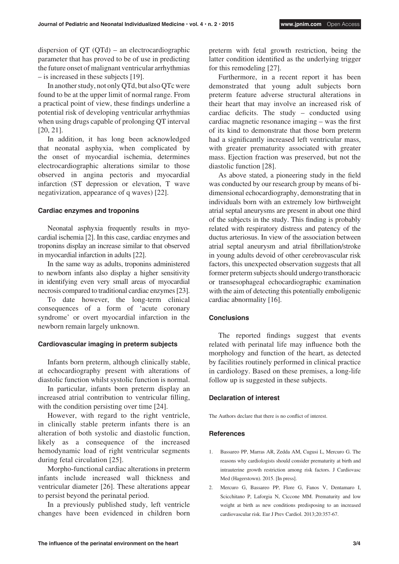dispersion of QT (QTd) – an electrocardiographic parameter that has proved to be of use in predicting the future onset of malignant ventricular arrhythmias – is increased in these subjects [19].

In another study, not only QTd, but also QTc were found to be at the upper limit of normal range. From a practical point of view, these findings underline a potential risk of developing ventricular arrhythmias when using drugs capable of prolonging QT interval [20, 21].

In addition, it has long been acknowledged that neonatal asphyxia, when complicated by the onset of myocardial ischemia, determines electrocardiographic alterations similar to those observed in angina pectoris and myocardial infarction (ST depression or elevation, T wave negativization, appearance of q waves) [22].

## **Cardiac enzymes and troponins**

Neonatal asphyxia frequently results in myocardial ischemia [2]. In this case, cardiac enzymes and troponins display an increase similar to that observed in myocardial infarction in adults [22].

In the same way as adults, troponins administered to newborn infants also display a higher sensitivity in identifying even very small areas of myocardial necrosis compared to traditional cardiac enzymes [23].

To date however, the long-term clinical consequences of a form of 'acute coronary syndrome' or overt myocardial infarction in the newborn remain largely unknown.

## **Cardiovascular imaging in preterm subjects**

Infants born preterm, although clinically stable, at echocardiography present with alterations of diastolic function whilst systolic function is normal.

In particular, infants born preterm display an increased atrial contribution to ventricular filling, with the condition persisting over time [24].

However, with regard to the right ventricle, in clinically stable preterm infants there is an alteration of both systolic and diastolic function, likely as a consequence of the increased hemodynamic load of right ventricular segments during fetal circulation [25].

Morpho-functional cardiac alterations in preterm infants include increased wall thickness and ventricular diameter [26]. These alterations appear to persist beyond the perinatal period.

In a previously published study, left ventricle changes have been evidenced in children born preterm with fetal growth restriction, being the latter condition identified as the underlying trigger for this remodeling [27].

Furthermore, in a recent report it has been demonstrated that young adult subjects born preterm feature adverse structural alterations in their heart that may involve an increased risk of cardiac deficits. The study – conducted using cardiac magnetic resonance imaging – was the first of its kind to demonstrate that those born preterm had a significantly increased left ventricular mass, with greater prematurity associated with greater mass. Ejection fraction was preserved, but not the diastolic function [28].

As above stated, a pioneering study in the field was conducted by our research group by means of bidimensional echocardiography, demonstrating that in individuals born with an extremely low birthweight atrial septal aneurysms are present in about one third of the subjects in the study. This finding is probably related with respiratory distress and patency of the ductus arteriosus. In view of the association between atrial septal aneurysm and atrial fibrillation/stroke in young adults devoid of other cerebrovascular risk factors, this unexpected observation suggests that all former preterm subjects should undergo transthoracic or transesophageal echocardiographic examination with the aim of detecting this potentially emboligenic cardiac abnormality [16].

## **Conclusions**

The reported findings suggest that events related with perinatal life may influence both the morphology and function of the heart, as detected by facilities routinely performed in clinical practice in cardiology. Based on these premises, a long-life follow up is suggested in these subjects.

#### **Declaration of interest**

The Authors declare that there is no conflict of interest.

## **References**

- 1. Bassareo PP, Marras AR, Zedda AM, Cugusi L, Mercuro G. The reasons why cardiologists should consider prematurity at birth and intrauterine growth restriction among risk factors. J Cardiovasc Med (Hagerstown). 2015. [In press].
- 2. Mercuro G, Bassareo PP, Flore G, Fanos V, Dentamaro I, Scicchitano P, Laforgia N, Ciccone MM. Prematurity and low weight at birth as new conditions predisposing to an increased cardiovascular risk. Eur J Prev Cardiol. 2013;20:357-67.